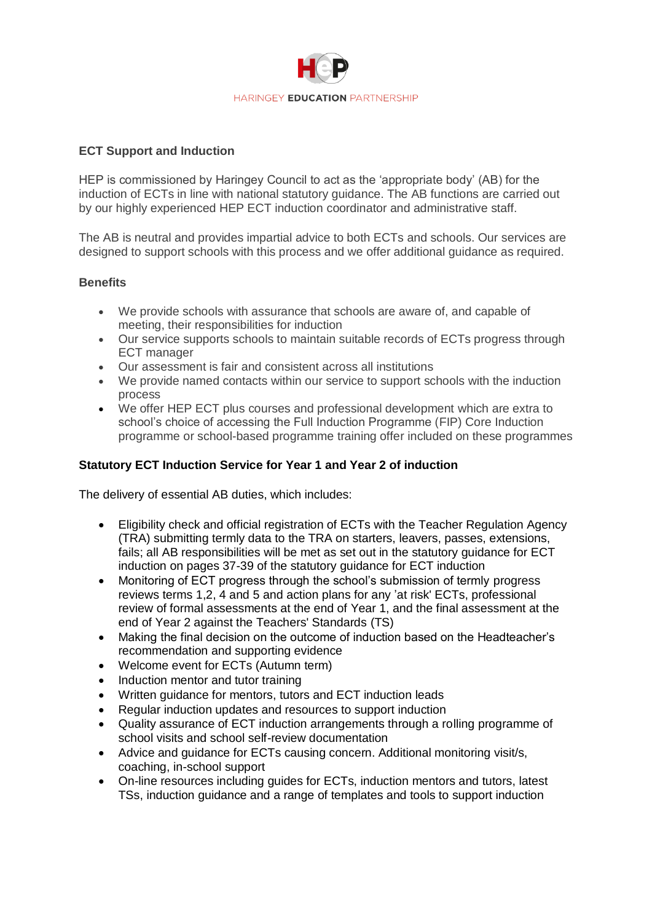

## **ECT Support and Induction**

HEP is commissioned by Haringey Council to act as the 'appropriate body' (AB) for the induction of ECTs in line with national statutory guidance. The AB functions are carried out by our highly experienced HEP ECT induction coordinator and administrative staff.

The AB is neutral and provides impartial advice to both ECTs and schools. Our services are designed to support schools with this process and we offer additional guidance as required.

## **Benefits**

- We provide schools with assurance that schools are aware of, and capable of meeting, their responsibilities for induction
- Our service supports schools to maintain suitable records of ECTs progress through ECT manager
- Our assessment is fair and consistent across all institutions
- We provide named contacts within our service to support schools with the induction process
- We offer HEP ECT plus courses and professional development which are extra to school's choice of accessing the Full Induction Programme (FIP) Core Induction programme or school-based programme training offer included on these programmes

## **Statutory ECT Induction Service for Year 1 and Year 2 of induction**

The delivery of essential AB duties, which includes:

- Eligibility check and official registration of ECTs with the Teacher Regulation Agency (TRA) submitting termly data to the TRA on starters, leavers, passes, extensions, fails; all AB responsibilities will be met as set out in the statutory guidance for ECT induction on pages 37-39 of the statutory guidance for ECT induction
- Monitoring of ECT progress through the school's submission of termly progress reviews terms 1,2, 4 and 5 and action plans for any 'at risk' ECTs, professional review of formal assessments at the end of Year 1, and the final assessment at the end of Year 2 against the Teachers' Standards (TS)
- Making the final decision on the outcome of induction based on the Headteacher's recommendation and supporting evidence
- Welcome event for ECTs (Autumn term)
- Induction mentor and tutor training
- Written guidance for mentors, tutors and ECT induction leads
- Regular induction updates and resources to support induction
- Quality assurance of ECT induction arrangements through a rolling programme of school visits and school self-review documentation
- Advice and guidance for ECTs causing concern. Additional monitoring visit/s, coaching, in-school support
- On-line resources including guides for ECTs, induction mentors and tutors, latest TSs, induction guidance and a range of templates and tools to support induction